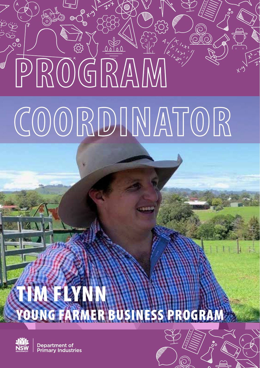# **PROGRAM COORDINATOR**

ၟ<br>၂ *။* 

്റ



Department of nary Industries

TIM FLYNN<br>YOUNG FARMER



BUSINESS PROGRAM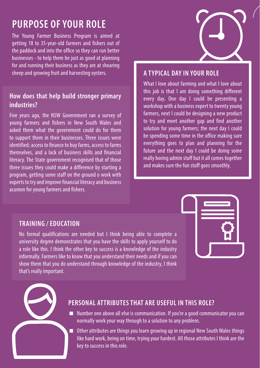# **PURPOSE OF YOUR ROLE**

The Young Farmer Business Program is aimed at getting 18 to 35-year-old farmers and fishers out of the paddock and into the office so they can run better businesses - to help them be just as good at planning for and running their business as they are at shearing sheep and growing fruit and harvesting oysters.

### **How does that help build stronger primary industries?**

Five years ago, the NSW Government ran a survey of young farmers and fishers in New South Wales and asked them what the government could do for them to support them in their businesses. Three issues were identified; access to finance to buy farms, access to farms themselves, and a lack of business skills and financial literacy. The State government recognised that of those three issues they could make a difference by starting a program, getting some staff on the ground o work with experts to try and improve financial literacy and business acumen for young farmers and fishers.



#### **A TYPICAL DAY IN YOUR ROLE**

What I love about farming and what I love about this job is that I am doing something different every day. One day I could be presenting a workshop with a business expert to twenty young farmers, next I could be designing a new product to try and meet another gap and find another solution for young farmers; the next day I could be spending some time in the office making sure everything goes to plan and planning for the future and the next day I could be doing some really boring admin stuff but it all comes together and makes sure the fun stuff goes smoothly.

#### **TRAINING / EDUCATION**

No formal qualifications are needed but I think being able to complete a university degree demonstrates that you have the skills to apply yourself to do a role like this. I think the other key to success is a knowledge of the industry informally. Farmers like to know that you understand their needs and if you can show them that you do understand through knowledge of the industry, I think that's really important.



#### **PERSONAL ATTRIBUTES THAT ARE USEFUL IN THIS ROLE?**

- Number one above all else is communication. If you're a good communicator you can normally work your way through to a solution to any problem.
- Other attributes are things you learn growing up in regional New South Wales things like hard work, being on time, trying your hardest. All those attributes I think are the key to success in this role.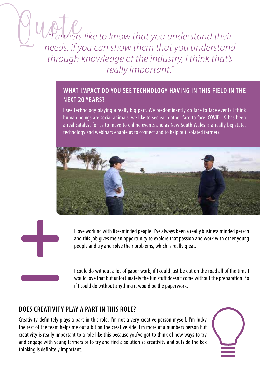*"Farmers like to know that you understand their needs, if you can show them that you understand through knowledge of the industry, I think that's really important."*

# **WHAT IMPACT DO YOU SEE TECHNOLOGY HAVING IN THIS FIELD IN THE NEXT 20 YEARS?**

I see technology playing a really big part. We predominantly do face to face events I think human beings are social animals, we like to see each other face to face. COVID-19 has been a real catalyst for us to move to online events and as New South Wales is a really big state, technology and webinars enable us to connect and to help out isolated farmers.





I love working with like-minded people. I've always been a really business minded person and this job gives me an opportunity to explore that passion and work with other young people and try and solve their problems, which is really great.

I could do without a lot of paper work, if I could just be out on the road all of the time I would love that but unfortunately the fun stuff doesn't come without the preparation. So if I could do without anything it would be the paperwork.

# **DOES CREATIVITY PLAY A PART IN THIS ROLE?**

Creativity definitely plays a part in this role. I'm not a very creative person myself, I'm lucky the rest of the team helps me out a bit on the creative side. I'm more of a numbers person but creativity is really important to a role like this because you've got to think of new ways to try and engage with young farmers or to try and find a solution so creativity and outside the box thinking is definitely important.